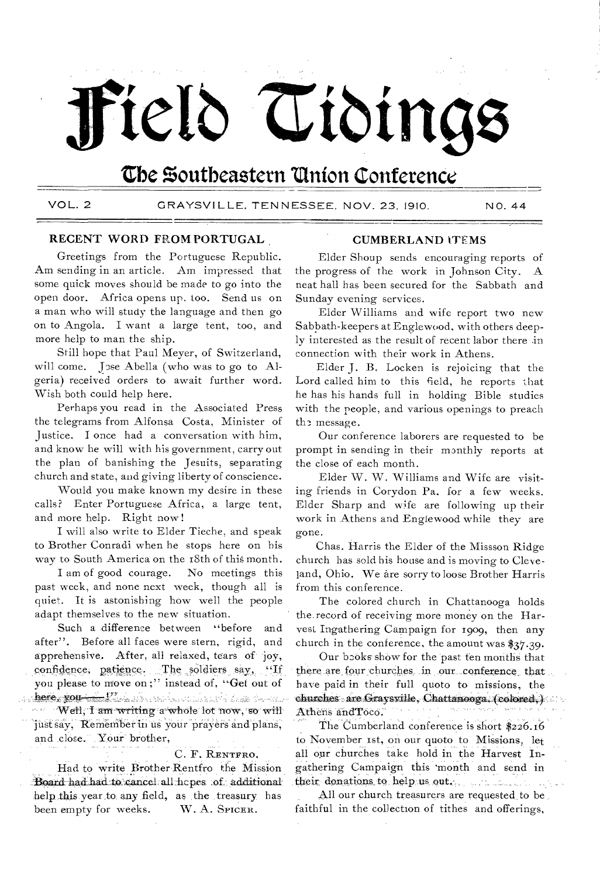# Field Tiding

# The Southeastern Union Conference

VOL. 2

GRAYSVILLE, TENNESSEE, NOV. 23, 1910.

NO. 44

## RECENT WORD FROM PORTUGAL

Greetings from the Portuguese Republic. Am sending in an article. Am impressed that some quick moves should be made to go into the open door. Africa opens up. too. Send us on a man who will study the language and then go on to Angola. I want a large tent, too, and more help to man the ship.

Still hope that Paul Meyer, of Switzerland, will come. Jose Abella (who was to go to Algeria) received orders to await further word. Wish both could help here.

Perhaps you read in the Associated Press the telegrams from Alfonsa Costa, Minister of Justice. I once had a conversation with him, and know he will with his government, carry out the plan of banishing the Jesuits, separating church and state, and giving liberty of conscience.

Would you make known my desire in these calls? Enter Portuguese Africa, a large tent, and more help. Right now!

I will also write to Elder Tieche, and speak to Brother Conradi when he stops here on his way to South America on the 18th of this month.

I am of good courage. No meetings this past week, and none next week, though all is quiet. It is astonishing how well the people adapt themselves to the new situation.

Such a difference between "before and after". Before all faces were stern, rigid, and apprehensive. After, all relaxed, tears of joy, confidence, patience. The soldiers say, "If you please to move on;" instead of, "Get out of . stra**beries you <del>talics.</del> T**here with a replacement with the first of the form of the  $\zeta \vec{e}_\alpha \cdot \zeta \vec{\sigma}_\beta$ Well, I am writing a whole lot now, so will just say, Remember in us your prayers and plans, and close. Your brother,

#### C. F. RENTFRO.

Had to write Brother Rentfro the Mission Board had had to cancel all hopes of additional help this year to any field, as the treasury has been empty for weeks. W. A. SPICER.

#### **CUMBERLAND ITEMS**

Elder Shoup sends encouraging reports of the progress of the work in Johnson City.  $\mathbf{A}$ neat hall has been secured for the Sabbath and Sunday evening services.

Elder Williams and wife report two new Sabbath-keepers at Englewood, with others deeply interested as the result of recent labor there in connection with their work in Athens.

Elder J. B. Locken is rejoicing that the Lord called him to this field, he reports that he has his hands full in holding Bible studies with the people, and various openings to preach the message.

Our conference laborers are requested to be prompt in sending in their monthly reports at the close of each month.

Elder W. W. Williams and Wife are visiting friends in Corydon Pa. for a few weeks. Elder Sharp and wife are following up their work in Athens and Englewood while they are gone.

Chas. Harris the Elder of the Missson Ridge church has sold his house and is moving to Cleve-Jand, Ohio. We are sorry to loose Brother Harris from this conference.

The colored church in Chattanooga holds the record of receiving more money on the Harvest Ingathering Campaign for 1909, then any church in the conference, the amount was  $\frac{27}{39}$ .

Our books show for the past ten months that there are four churches in our conference that have paid in their full quoto to missions, the churches are Graysville, Chattanooga, (colored.) Athens and Toco.  $\epsilon$  ,  $\kappa$ egipti they are started?

The Cumberland conference is short \$226.16 to November 1st, on our quoto to Missions, let all our churches take hold in the Harvest Ingathering Campaign this month and send in their donations to help us out.

All our church treasurers are requested to be faithful in the collection of tithes and offerings,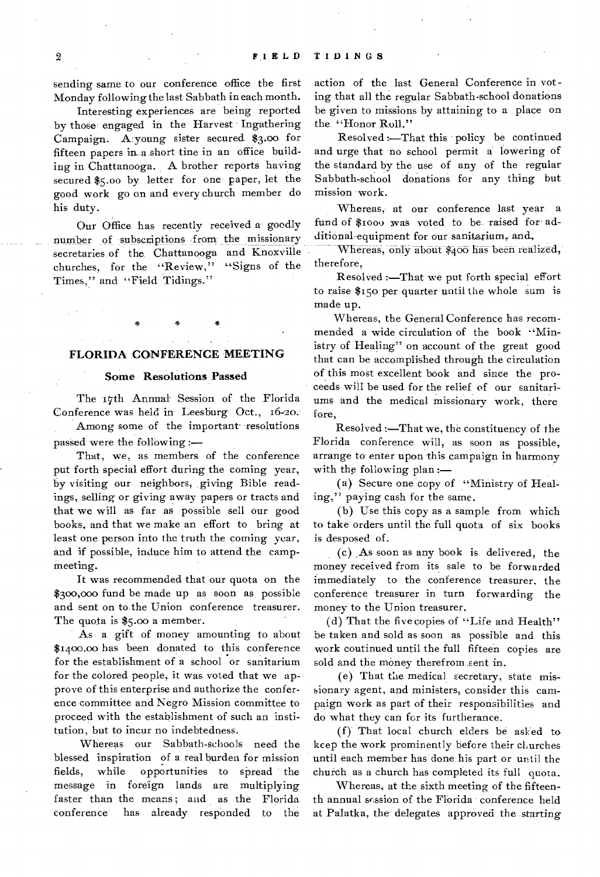sending same to our conference office the first Monday following the last Sabbath in each month.

Interesting experiences are being reported by those engaged in the Harvest Ingathering Campaign. A young sister secured \$3.00 for fifteen papers in a short tine in an office building in Chattanooga. A brother reports having secured \$5.00 by letter for one paper, let the good work go on and every church member do his duty.

Our Office has recently received a goodly number of subscriptions from the missionary secretaries of the. Chattanooga and Knoxville churches, for the "Review," "Signs of the Times," and "Field Tidings."

## **FLORIDA CONFERENCE MEETING**

#### **Some Resolutions Passed**

The 17th Annual Session of the Florida Conference was held in Leesburg Oct., 16-2o-

Among some of the important resolutions passed were the following :—

That, we, as members of the conference put forth special effort during the coming year, by visiting our neighbors, giving Bible readings, selling or giving away papers or tracts and that we will as far as possible sell our good books, and that we make an effort to bring at least one person into the truth the coming year, and if possible, induce him to attend the campmeeting.

It was recommended that our quota on the \$300,000 fund be made up as soon as possible and sent on to the Union conference treasurer. The quota is \$5.00 a member.

As a gift of money amounting to about \$1400.00 has been donated to this conference for the establishment of a school or sanitarium for the colored people, it was voted that we approve of this enterprise and authorize the conference committee and Negro Mission committee to proceed with the establishment of such an institution, but to incur no indebtedness.

Whereas our Sabbath-schools need the blessed inspiration of a real burden for mission fields, while opportunities to spread the message in foreign lands are multiplying faster than the means; and as the Florida conference has already responded to the action of the last General Conference in voting that all the regular Sabbath-school donations be given to missions by attaining to a place on the "Honor Roll."

Resolved :—That this policy be continued and urge that no school permit a' lowering of the standard by the use of any of the regular Sabbath-school donations for any thing but mission work.

Whereas, at our conference last year a fund of \$i000 was voted to be raised for additional equipment for our sanitarium, and,

Whereas, only about \$400 has been realized, therefore,

Resolved :—That we put forth special effort to raise \$150 per quarter until the whole sum is made up.

Whereas, the General Conference has recommended a wide circulation of the book "Ministry of Healing" on account of the great good that can be accomplished through the circulation of this most excellent book and since the proceeds will be used for the relief of our sanitariums and the medical missionary work, there fore,

Resolved :—That we, the constituency of the Florida conference will, as soon as possible, arrange to enter upon this campaign in harmony with the following plan :-

(a) Secure one copy of "Ministry of Healing," paying cash for the same.

(b) Use this copy as a sample from which to take orders until the full quota of six books is desposed of.

(c) As soon as any book is delivered, the money received from its sale to be forwarded immediately to the conference treasurer, the conference treasurer in turn forwarding the money to the Union treasurer.

(d) That the five copies of "Life and Health" be taken and sold as soon as possible and this work coutinued until the full fifteen copies are sold and the money therefrom sent in.

(e) That the medical secretary, state missionary agent, and ministers, consider this campaign work as part of their responsibilities and do what they can for its furtherance.

(f) That local church elders be asked to keep the work prominently before their churches until each member has done his part or until the church as a church has completed its full quota.

Whereas, at the sixth meeting of the fifteenth annual srssion of the Florida conference held at Palatka, the delegates approved the starting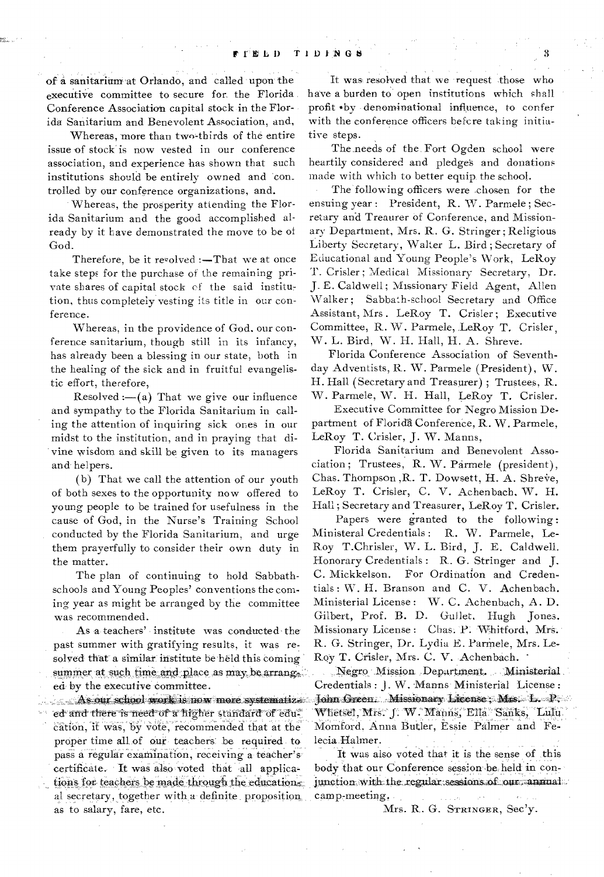of a sanitarium at Orlando, and called upon the executive committee to secure for the Florida. Conference Association capital stock in the Florida Sanitarium and Benevolent Association, and,

Whereas, more than two-thirds of the entire issue of stock' is now vested in our conference association, and experience has shown that such institutions should be entirely owned and 'con\_ trolled by our conference organizations, and.

Whereas, the prosperity attending the Florida Sanitarium and the good accomplished already by it have demonstrated the move to be of God.

Therefore, be it revolved  $:$  -That we at once take steps for the purchase of the remaining private shares of capital stock of the said institution, thus completely vesting its title in our conference.

Whereas, in the providence of God, our conference sanitarium, though still in its infancy, has already been a blessing in our state, both in the healing of the sick and in fruitful evangelistic effort, therefore,

Resolved :—(a) That we give our influence and sympathy to the Florida Sanitarium in calling the attention of inquiring sick ones in our midst to the institution, and in praying that di vine wisdom and skill be given to its managers and- helpers.

(b) That we call the attention of our youth of both sexes to the opportunity, now offered to young people to be trained for usefulness in the cause of God, in the Nurse's Training School , conducted by the Florida Sanitarium, and urge them prayerfully to consider their own duty in the matter.

The plan of continuing to hold Sabbathschools and Young Peoples' conventions the coming year as might be arranged by the committee was recommended.

As a teachers' institute was conducted the past summer with gratifying results, it was resolved that a similar institute beheld this coming summer at such time and place as may be arrang. ea: by the executive committee.

As our school work is now more systematize. ed and there is need of a higher standard of education, it was, by vote, recommended that at the proper time all of our teachers be required to pass a regular examination, receiving a teacher'scertificate. It was also voted that all applications for teachers be made through the educations: al secretary, together with a definite proposition, as to salary, fare, etc.

It was resolved that we request those who have a burden to' open institutions which shall profit ...by -denomination-al influence, to confer with the conference officers befcre taking initiative steps.

The needs of the Fort Ogden school were heartily considered and pledges and donations made with which to better equip. the school.

The following officers were chosen for the ensuing year : President, R. W. Parmele ; Secretary and Treaurer of Conference, and Missionary Department, Mrs. R. G. Stringer ; Religious Liberty Secretary, Walter L. Bird; Secretary of Educational and Young People's Work, LeRoy T. Crisler ; Medical Missionary Secretary, Dr. J. E. Caldwell ; Missionary Field Agent, Allen Walker ; Sabbath-school Secretary and Office Assistant, Mrs . LeRoy T. Crisler; Executive Committee, R. W. Parmele, LeRoy T. Crisler, W. L. Bird, W. H. Hall, H. A. Shreve.

Florida Conference Association of Seventhday Adventists, R. W. Parmele (President), W. H. Hall (Secretary and Treasurer) ; Trustees, R. W. Parmele, W. H. Hall, LeRoy T. Crisler.

Executive Committee for Negro Mission Department of Florida Conference, R. W. Parmele, LeRoy T. Crisler, J. W. Manns,

Florida Sanitarium and Benevolent Association ; Trustees, R. W. Parmele (president), Chas. Thompson, R. T. Dowsett, H. A. Shreve, LeRoy T. Crisler, C. V. Achenbach, W. H. Hall; Secretary and Treasurer, LeRoy T. Crisler.

Papers were granted to the following : Ministeral Credentials : R. W. Parmele, Le-Roy T.Chrisler, W. L. Bird, J. E. Caldwell. Honorary Credentials : R. G. Stringer and J. C. Mickkelson. For Ordination and Credentials : W. H. Branson and C. V. Achenbach. Ministerial License : W. C. Achenbach, A. D. Gilbert, Prof. B. D. Gullet, Hugh Jones. Missionary License : Chas. P. Whitford, Mrs. R. G. Stringer, Dr. Lydia E. Parmele, Mrs. Le-Roy T. Crisler, Mrs. C. V. -Achenbach.

Negro Mission Department. Ministerial Credentials : J. W. Manns Ministerial License : : John. Green....... Missionary License ;... Mrs.... L. P. Whetsel, Mrs. J. W. Manns, Ella Sanks, Lulu. MOmford, Anna Butler, Essie Palmer and Felecia.Halmer.

It was also voted that it is the sense of this body that our Conference session-be: held in conjunction with the regular sessions of our annual. camp-meeting,

Mrs. R. G. STRINGER, Sec'y.